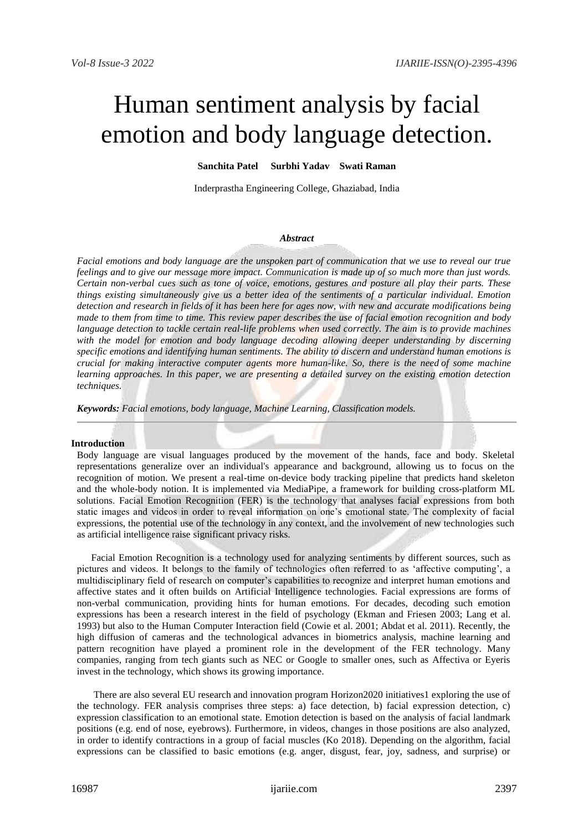# Human sentiment analysis by facial emotion and body language detection.

# **Sanchita Patel Surbhi Yadav Swati Raman**

Inderprastha Engineering College, Ghaziabad, India

### *Abstract*

*Facial emotions and body language are the unspoken part of communication that we use to reveal our true feelings and to give our message more impact. Communication is made up of so much more than just words. Certain non-verbal cues such as tone of voice, emotions, gestures and posture all play their parts. These things existing simultaneously give us a better idea of the sentiments of a particular individual. Emotion detection and research in fields of it has been here for ages now, with new and accurate modifications being made to them from time to time. This review paper describes the use of facial emotion recognition and body language detection to tackle certain real-life problems when used correctly. The aim is to provide machines with the model for emotion and body language decoding allowing deeper understanding by discerning specific emotions and identifying human sentiments. The ability to discern and understand human emotions is crucial for making interactive computer agents more human-like. So, there is the need of some machine learning approaches. In this paper, we are presenting a detailed survey on the existing emotion detection techniques.*

*Keywords: Facial emotions, body language, Machine Learning, Classification models.*

# **Introduction**

Body language are visual languages produced by the movement of the hands, face and body. Skeletal representations generalize over an individual's appearance and background, allowing us to focus on the recognition of motion. We present a real-time on-device body tracking pipeline that predicts hand skeleton and the whole-body notion. It is implemented via MediaPipe, a framework for building cross-platform ML solutions. Facial Emotion Recognition (FER) is the technology that analyses facial expressions from both static images and videos in order to reveal information on one's emotional state. The complexity of facial expressions, the potential use of the technology in any context, and the involvement of new technologies such as artificial intelligence raise significant privacy risks.

Facial Emotion Recognition is a technology used for analyzing sentiments by different sources, such as pictures and videos. It belongs to the family of technologies often referred to as 'affective computing', a multidisciplinary field of research on computer's capabilities to recognize and interpret human emotions and affective states and it often builds on Artificial Intelligence technologies. Facial expressions are forms of non-verbal communication, providing hints for human emotions. For decades, decoding such emotion expressions has been a research interest in the field of psychology (Ekman and Friesen 2003; Lang et al. 1993) but also to the Human Computer Interaction field (Cowie et al. 2001; Abdat et al. 2011). Recently, the high diffusion of cameras and the technological advances in biometrics analysis, machine learning and pattern recognition have played a prominent role in the development of the FER technology. Many companies, ranging from tech giants such as NEC or Google to smaller ones, such as Affectiva or Eyeris invest in the technology, which shows its growing importance.

There are also several EU research and innovation program Horizon2020 initiatives1 exploring the use of the technology. FER analysis comprises three steps: a) face detection, b) facial expression detection, c) expression classification to an emotional state. Emotion detection is based on the analysis of facial landmark positions (e.g. end of nose, eyebrows). Furthermore, in videos, changes in those positions are also analyzed, in order to identify contractions in a group of facial muscles (Ko 2018). Depending on the algorithm, facial expressions can be classified to basic emotions (e.g. anger, disgust, fear, joy, sadness, and surprise) or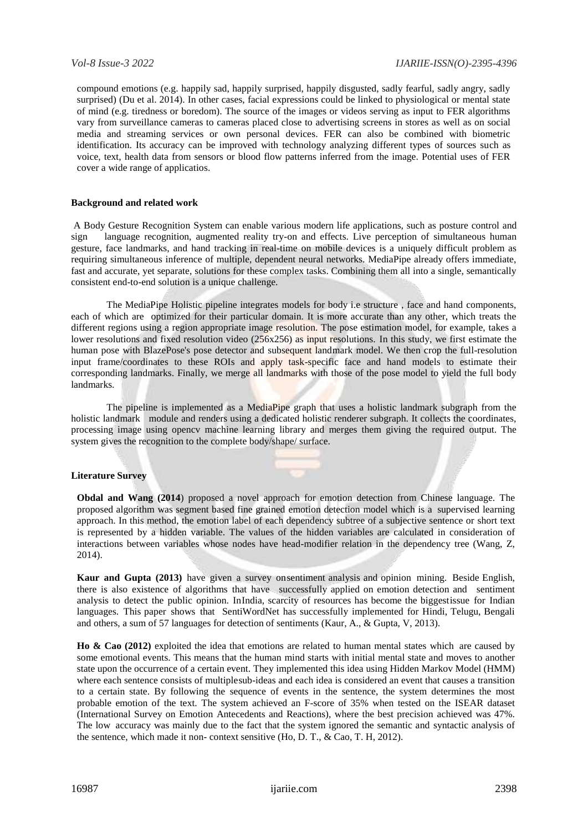compound emotions (e.g. happily sad, happily surprised, happily disgusted, sadly fearful, sadly angry, sadly surprised) (Du et al. 2014). In other cases, facial expressions could be linked to physiological or mental state of mind (e.g. tiredness or boredom). The source of the images or videos serving as input to FER algorithms vary from surveillance cameras to cameras placed close to advertising screens in stores as well as on social media and streaming services or own personal devices. FER can also be combined with biometric identification. Its accuracy can be improved with technology analyzing different types of sources such as voice, text, health data from sensors or blood flow patterns inferred from the image. Potential uses of FER cover a wide range of applicatios.

# **Background and related work**

A Body Gesture Recognition System can enable various modern life applications, such as posture control and sign language recognition, augmented reality try-on and effects. Live perception of simultaneous human gesture, face landmarks, and hand tracking in real-time on mobile devices is a uniquely difficult problem as requiring simultaneous inference of multiple, dependent neural networks. MediaPipe already offers immediate, fast and accurate, yet separate, solutions for these complex tasks. Combining them all into a single, semantically consistent end-to-end solution is a unique challenge.

The MediaPipe Holistic pipeline integrates models for body i.e structure , face and hand components, each of which are optimized for their particular domain. It is more accurate than any other, which treats the different regions using a region appropriate image resolution. The pose estimation model, for example, takes a lower resolutions and fixed resolution video (256x256) as input resolutions. In this study, we first estimate the human pose with BlazePose's pose detector and subsequent landmark model. We then crop the full-resolution input frame/coordinates to these ROIs and apply task-specific face and hand models to estimate their corresponding landmarks. Finally, we merge all landmarks with those of the pose model to yield the full body landmarks.

The pipeline is implemented as a MediaPipe graph that uses a holistic landmark subgraph from the holistic landmark module and renders using a dedicated holistic renderer subgraph. It collects the coordinates, processing image using opencv machine learning library and merges them giving the required output. The system gives the recognition to the complete body/shape/ surface.

# **Literature Survey**

**Obdal and Wang (2014**) proposed a novel approach for emotion detection from Chinese language. The proposed algorithm was segment based fine grained emotion detection model which is a supervised learning approach. In this method, the emotion label of each dependency subtree of a subjective sentence or short text is represented by a hidden variable. The values of the hidden variables are calculated in consideration of interactions between variables whose nodes have head-modifier relation in the dependency tree (Wang, Z, 2014).

**Kaur and Gupta (2013)** have given a survey onsentiment analysis and opinion mining. Beside English, there is also existence of algorithms that have successfully applied on emotion detection and sentiment analysis to detect the public opinion. InIndia, scarcity of resources has become the biggestissue for Indian languages. This paper shows that SentiWordNet has successfully implemented for Hindi, Telugu, Bengali and others, a sum of 57 languages for detection of sentiments (Kaur, A., & Gupta, V, 2013).

**Ho & Cao (2012)** exploited the idea that emotions are related to human mental states which are caused by some emotional events. This means that the human mind starts with initial mental state and moves to another state upon the occurrence of a certain event. They implemented this idea using Hidden Markov Model (HMM) where each sentence consists of multiplesub-ideas and each idea is considered an event that causes a transition to a certain state. By following the sequence of events in the sentence, the system determines the most probable emotion of the text. The system achieved an F-score of 35% when tested on the ISEAR dataset (International Survey on Emotion Antecedents and Reactions), where the best precision achieved was 47%. The low accuracy was mainly due to the fact that the system ignored the semantic and syntactic analysis of the sentence, which made it non- context sensitive (Ho, D. T., & Cao, T. H, 2012).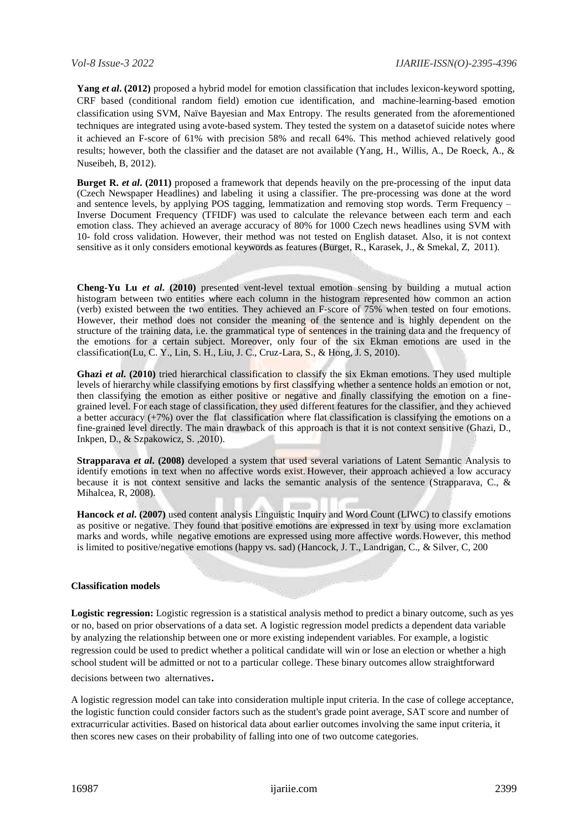**Yang** *et al***. (2012)** proposed a hybrid model for emotion classification that includes lexicon-keyword spotting, CRF based (conditional random field) emotion cue identification, and machine-learning-based emotion classification using SVM, Naïve Bayesian and Max Entropy. The results generated from the aforementioned techniques are integrated using avote-based system. They tested the system on a datasetof suicide notes where it achieved an F-score of 61% with precision 58% and recall 64%. This method achieved relatively good results; however, both the classifier and the dataset are not available (Yang, H., Willis, A., De Roeck, A., & Nuseibeh, B, 2012).

**Burget R.** *et al.* (2011) proposed a framework that depends heavily on the pre-processing of the input data (Czech Newspaper Headlines) and labeling it using a classifier. The pre-processing was done at the word and sentence levels, by applying POS tagging, lemmatization and removing stop words. Term Frequency – Inverse Document Frequency (TFIDF) was used to calculate the relevance between each term and each emotion class. They achieved an average accuracy of 80% for 1000 Czech news headlines using SVM with 10- fold cross validation. However, their method was not tested on English dataset. Also, it is not context sensitive as it only considers emotional keywords as features (Burget, R., Karasek, J., & Smekal, Z, 2011).

**Cheng-Yu Lu** *et al***. (2010)** presented vent-level textual emotion sensing by building a mutual action histogram between two entities where each column in the histogram represented how common an action (verb) existed between the two entities. They achieved an F-score of 75% when tested on four emotions. However, their method does not consider the meaning of the sentence and is highly dependent on the structure of the training data, i.e. the grammatical type of sentences in the training data and the frequency of the emotions for a certain subject. Moreover, only four of the six Ekman emotions are used in the classification(Lu, C. Y., Lin, S. H., Liu, J. C., Cruz-Lara, S., & Hong, J. S, 2010).

**Ghazi** *et al*, (2010) tried hierarchical classification to classify the six Ekman emotions. They used multiple levels of hierarchy while classifying emotions by first classifying whether a sentence holds an emotion or not, then classifying the emotion as either positive or negative and finally classifying the emotion on a finegrained level. For each stage of classification, they used different features for the classifier, and they achieved a better accuracy  $(+7%)$  over the flat classification where flat classification is classifying the emotions on a fine-grained level directly. The main drawback of this approach is that it is not context sensitive (Ghazi, D., Inkpen, D., & Szpakowicz, S. ,2010).

**Strapparava** *et al***. (2008)** developed a system that used several variations of Latent Semantic Analysis to identify emotions in text when no affective words exist. However, their approach achieved a low accuracy because it is not context sensitive and lacks the semantic analysis of the sentence (Strapparava, C., & Mihalcea, R, 2008).

**Hancock** *et al***. (2007)** used content analysis Linguistic Inquiry and Word Count (LIWC) to classify emotions as positive or negative. They found that positive emotions are expressed in text by using more exclamation marks and words, while negative emotions are expressed using more affective words.However, this method is limited to positive/negative emotions (happy vs. sad) (Hancock, J. T., Landrigan, C., & Silver, C, 200

# **Classification models**

**Logistic regression:** Logistic regression is a statistical analysis method to predict a binary outcome, such as yes or no, based on prior observations of a data set. A logistic regression model predicts a dependent data variable by analyzing the relationship between one or more existing independent variables. For example, a logistic regression could be used to predict whether a political candidate will win or lose an election or whether a high school student will be admitted or not to a particular college. These binary outcomes allow straightforward decisions between two alternatives.

A logistic regression model can take into consideration multiple input criteria. In the case of college acceptance, the logistic function could consider factors such as the student's grade point average, SAT score and number of extracurricular activities. Based on historical data about earlier outcomes involving the same input criteria, it then scores new cases on their probability of falling into one of two outcome categories.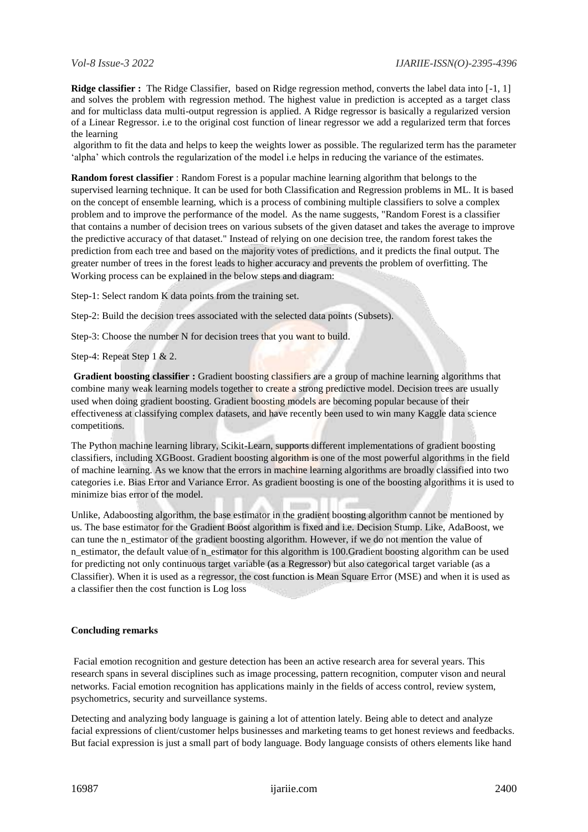**Ridge classifier :** The Ridge Classifier, based on Ridge regression method, converts the label data into [-1, 1] and solves the problem with regression method. The highest value in prediction is accepted as a target class and for multiclass data multi-output regression is applied. A Ridge regressor is basically a regularized version of a Linear Regressor. i.e to the original cost function of linear regressor we add a regularized term that forces the learning

algorithm to fit the data and helps to keep the weights lower as possible. The regularized term has the parameter 'alpha' which controls the regularization of the model i.e helps in reducing the variance of the estimates.

**Random forest classifier** : Random Forest is a popular machine learning algorithm that belongs to the supervised learning technique. It can be used for both Classification and Regression problems in ML. It is based on the concept of ensemble learning, which is a process of combining multiple classifiers to solve a complex problem and to improve the performance of the model. As the name suggests, "Random Forest is a classifier that contains a number of decision trees on various subsets of the given dataset and takes the average to improve the predictive accuracy of that dataset." Instead of relying on one decision tree, the random forest takes the prediction from each tree and based on the majority votes of predictions, and it predicts the final output. The greater number of trees in the forest leads to higher accuracy and prevents the problem of overfitting. The Working process can be explained in the below steps and diagram:

Step-1: Select random K data points from the training set.

Step-2: Build the decision trees associated with the selected data points (Subsets).

Step-3: Choose the number N for decision trees that you want to build.

Step-4: Repeat Step 1 & 2.

**Gradient boosting classifier :** Gradient boosting classifiers are a group of machine learning algorithms that combine many weak learning models together to create a strong predictive model. Decision trees are usually used when doing gradient boosting. Gradient boosting models are becoming popular because of their effectiveness at classifying complex datasets, and have recently been used to win many Kaggle data science competitions.

The Python machine learning library, Scikit-Learn, supports different implementations of gradient boosting classifiers, including XGBoost. Gradient boosting algorithm is one of the most powerful algorithms in the field of machine learning. As we know that the errors in machine learning algorithms are broadly classified into two categories i.e. Bias Error and Variance Error. As gradient boosting is one of the boosting algorithms it is used to minimize bias error of the model.

Unlike, Adaboosting algorithm, the base estimator in the gradient boosting algorithm cannot be mentioned by us. The base estimator for the Gradient Boost algorithm is fixed and i.e. Decision Stump. Like, AdaBoost, we can tune the n\_estimator of the gradient boosting algorithm. However, if we do not mention the value of n\_estimator, the default value of n\_estimator for this algorithm is 100.Gradient boosting algorithm can be used for predicting not only continuous target variable (as a Regressor) but also categorical target variable (as a Classifier). When it is used as a regressor, the cost function is Mean Square Error (MSE) and when it is used as a classifier then the cost function is Log loss

# **Concluding remarks**

Facial emotion recognition and gesture detection has been an active research area for several years. This research spans in several disciplines such as image processing, pattern recognition, computer vison and neural networks. Facial emotion recognition has applications mainly in the fields of access control, review system, psychometrics, security and surveillance systems.

Detecting and analyzing body language is gaining a lot of attention lately. Being able to detect and analyze facial expressions of client/customer helps businesses and marketing teams to get honest reviews and feedbacks. But facial expression is just a small part of body language. Body language consists of others elements like hand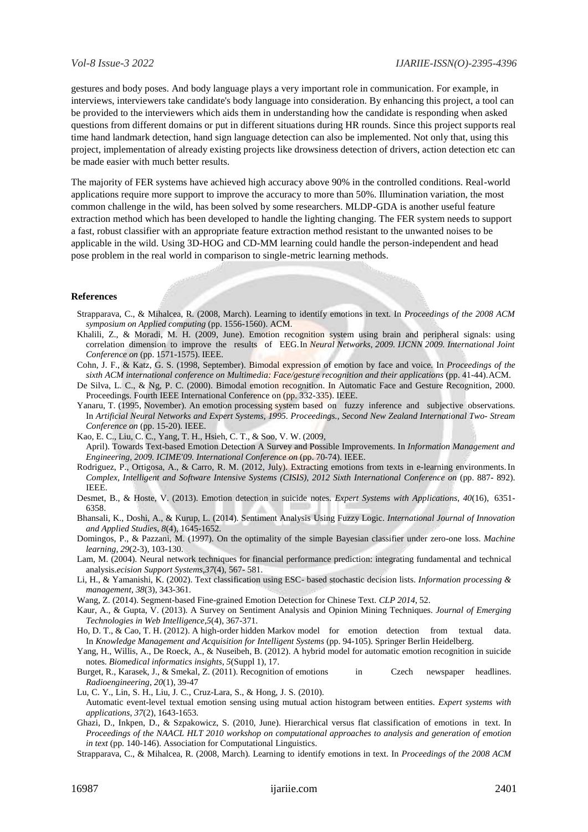gestures and body poses. And body language plays a very important role in communication. For example, in interviews, interviewers take candidate's body language into consideration. By enhancing this project, a tool can be provided to the interviewers which aids them in understanding how the candidate is responding when asked questions from different domains or put in different situations during HR rounds. Since this project supports real time hand landmark detection, hand sign language detection can also be implemented. Not only that, using this project, implementation of already existing projects like drowsiness detection of drivers, action detection etc can be made easier with much better results.

The majority of FER systems have achieved high accuracy above 90% in the controlled conditions. Real-world applications require more support to improve the accuracy to more than 50%. Illumination variation, the most common challenge in the wild, has been solved by some researchers. MLDP-GDA is another useful feature extraction method which has been developed to handle the lighting changing. The FER system needs to support a fast, robust classifier with an appropriate feature extraction method resistant to the unwanted noises to be applicable in the wild. Using 3D-HOG and CD-MM learning could handle the person-independent and head pose problem in the real world in comparison to single-metric learning methods.

# **References**

- Strapparava, C., & Mihalcea, R. (2008, March). Learning to identify emotions in text. In *Proceedings of the 2008 ACM symposium on Applied computing* (pp. 1556-1560). ACM.
- Khalili, Z., & Moradi, M. H. (2009, June). Emotion recognition system using brain and peripheral signals: using correlation dimension to improve the results of EEG.In *Neural Networks, 2009. IJCNN 2009. International Joint Conference on* (pp. 1571-1575). IEEE.
- Cohn, J. F., & Katz, G. S. (1998, September). Bimodal expression of emotion by face and voice. In *Proceedings of the sixth ACM international conference on Multimedia: Face/gesture recognition and their applications* (pp. 41-44).ACM.
- De Silva, L. C., & Ng, P. C. (2000). Bimodal emotion recognition. In Automatic Face and Gesture Recognition, 2000. Proceedings. Fourth IEEE International Conference on (pp. 332-335). IEEE.
- Yanaru, T. (1995, November). An emotion processing system based on fuzzy inference and subjective observations. In *Artificial Neural Networks and Expert Systems, 1995. Proceedings., Second New Zealand International Two- Stream Conference on* (pp. 15-20). IEEE.
- Kao, E. C., Liu, C. C., Yang, T. H., Hsieh, C. T., & Soo, V. W. (2009, April). Towards Text-based Emotion Detection A Survey and Possible Improvements. In *Information Management and Engineering, 2009. ICIME'09. International Conference on* (pp. 70-74). IEEE.
- Rodriguez, P., Ortigosa, A., & Carro, R. M. (2012, July). Extracting emotions from texts in e-learning environments.In *Complex, Intelligent and Software Intensive Systems (CISIS), 2012 Sixth International Conference on* (pp. 887- 892). IEEE.
- Desmet, B., & Hoste, V. (2013). Emotion detection in suicide notes. *Expert Systems with Applications*, *40*(16), 6351- 6358.
- Bhansali, K., Doshi, A., & Kurup, L. (2014). Sentiment Analysis Using Fuzzy Logic. *International Journal of Innovation and Applied Studies*, *8*(4), 1645-1652.
- Domingos, P., & Pazzani, M. (1997). On the optimality of the simple Bayesian classifier under zero-one loss. *Machine learning*, *29*(2-3), 103-130.
- Lam, M. (2004). Neural network techniques for financial performance prediction: integrating fundamental and technical analysis.*ecision Support Systems*,*37*(4), 567- 581.
- Li, H., & Yamanishi, K. (2002). Text classification using ESC- based stochastic decision lists. *Information processing & management*, *38*(3), 343-361.
- Wang, Z. (2014). Segment-based Fine-grained Emotion Detection for Chinese Text. *CLP 2014*, 52.
- Kaur, A., & Gupta, V. (2013). A Survey on Sentiment Analysis and Opinion Mining Techniques. *Journal of Emerging Technologies in Web Intelligence*,*5*(4), 367-371.
- Ho, D. T., & Cao, T. H. (2012). A high-order hidden Markov model for emotion detection from textual data. In *Knowledge Management and Acquisition for Intelligent Systems* (pp. 94-105). Springer Berlin Heidelberg.
- Yang, H., Willis, A., De Roeck, A., & Nuseibeh, B. (2012). A hybrid model for automatic emotion recognition in suicide notes. *Biomedical informatics insights*, *5*(Suppl 1), 17.
- Burget, R., Karasek, J., & Smekal, Z. (2011). Recognition of emotions in Czech newspaper headlines. *Radioengineering*, *20*(1), 39-47

Lu, C. Y., Lin, S. H., Liu, J. C., Cruz-Lara, S., & Hong, J. S. (2010). Automatic event-level textual emotion sensing using mutual action histogram between entities. *Expert systems with applications*, *37*(2), 1643-1653.

- Ghazi, D., Inkpen, D., & Szpakowicz, S. (2010, June). Hierarchical versus flat classification of emotions in text. In *Proceedings of the NAACL HLT 2010 workshop on computational approaches to analysis and generation of emotion in text* (pp. 140-146). Association for Computational Linguistics.
- Strapparava, C., & Mihalcea, R. (2008, March). Learning to identify emotions in text. In *Proceedings of the 2008 ACM*